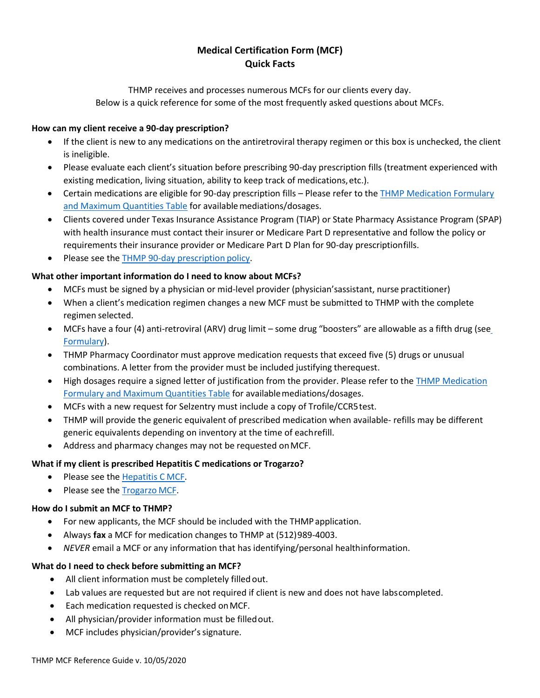## **Medical Certification Form (MCF) Quick Facts**

THMP receives and processes numerous MCFs for our clients every day. Below is a quick reference for some of the most frequently asked questions about MCFs.

#### **How can my client receive a 90-day prescription?**

- If the client is new to any medications on the antiretroviral therapy regimen or this box is unchecked, the client is ineligible.
- Please evaluate each client's situation before prescribing 90-day prescription fills (treatment experienced with existing medication, living situation, ability to keep track of medications,etc.).
- Certain medications are eligible for 90-day prescription fills Please refer to the [THMP Medication Formulary](https://www.dshs.texas.gov/hivstd/meds/files/formulary.pdf) [and Maximum Quantities Table](https://www.dshs.texas.gov/hivstd/meds/files/formulary.pdf) for available mediations/dosages.
- Clients covered under Texas Insurance Assistance Program (TIAP) or State Pharmacy Assistance Program (SPAP) with health insurance must contact their insurer or Medicare Part D representative and follow the policy or requirements their insurance provider or Medicare Part D Plan for 90-day prescriptionfills.
- Please see the [THMP 90-day prescription](https://www.dshs.texas.gov/hivstd/policy/policies/700-006.shtm) policy.

### **What other important information do I need to know about MCFs?**

- MCFs must be signed by a physician or mid-level provider (physician'sassistant, nurse practitioner)
- When a client's medication regimen changes a new MCF must be submitted to THMP with the complete regimen selected.
- MCFs have a four (4) anti-retroviral (ARV) drug limit some drug "boosters" are allowable as a fifth drug (se[e](https://www.dshs.texas.gov/hivstd/meds/files/formulary.pdf) [Formulary\)](https://www.dshs.texas.gov/hivstd/meds/files/formulary.pdf).
- THMP Pharmacy Coordinator must approve medication requests that exceed five (5) drugs or unusual combinations. A letter from the provider must be included justifying therequest.
- High dosages require a signed letter of justification from the provider. Please refer to the [THMP Medication](https://www.dshs.texas.gov/hivstd/meds/files/formulary.pdf) [Formulary and Maximum Quantities Table](https://www.dshs.texas.gov/hivstd/meds/files/formulary.pdf) for availablemediations/dosages.
- MCFs with a new request for Selzentry must include a copy of Trofile/CCR5test.
- THMP will provide the generic equivalent of prescribed medication when available- refills may be different generic equivalents depending on inventory at the time of eachrefill.
- Address and pharmacy changes may not be requested onMCF.

### **What if my client is prescribed Hepatitis C medications or Trogarzo?**

- Please see the [Hepatitis C](https://www.dshs.texas.gov/hivstd/meds/files/HCVapp.pdf) MCF.
- Please see the [Trogarzo](https://www.dshs.texas.gov/hivstd/meds/files/MCF-Trogarzo-Word.doc) MCF.

### **How do I submit an MCF to THMP?**

- For new applicants, the MCF should be included with the THMP application.
- Always **fax** a MCF for medication changes to THMP at (512)989-4003.
- *NEVER* email a MCF or any information that has identifying/personal healthinformation.

### **What do I need to check before submitting an MCF?**

- All client information must be completely filled out.
- Lab values are requested but are not required if client is new and does not have labscompleted.
- Each medication requested is checked onMCF.
- All physician/provider information must be filledout.
- MCF includes physician/provider's signature.